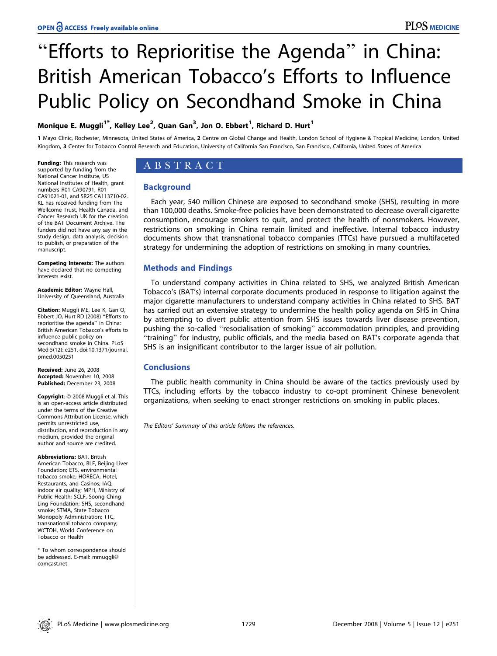# ''Efforts to Reprioritise the Agenda'' in China: British American Tobacco's Efforts to Influence Public Policy on Secondhand Smoke in China

## Monique E. Muggli $^{1^\ast}$ , Kelley Lee $^2$ , Quan Gan $^3$ , Jon O. Ebbert $^1$ , Richard D. Hurt $^1$

1 Mayo Clinic, Rochester, Minnesota, United States of America, 2 Centre on Global Change and Health, London School of Hygiene & Tropical Medicine, London, United Kingdom, 3 Center for Tobacco Control Research and Education, University of California San Francisco, San Francisco, California, United States of America

Funding: This research was supported by funding from the National Cancer Institute, US National Institutes of Health, grant numbers R01 CA90791, R01 CA91021-01, and 5R25 CA113710-02. KL has received funding from The Wellcome Trust, Health Canada, and Cancer Research UK for the creation of the BAT Document Archive. The funders did not have any say in the study design, data analysis, decision to publish, or preparation of the manuscript.

Competing Interests: The authors have declared that no competing interests exist.

Academic Editor: Wayne Hall, University of Queensland, Australia

Citation: Muggli ME, Lee K, Gan Q, Ebbert JO, Hurt RD (2008) ''Efforts to reprioritise the agenda'' in China: British American Tobacco's efforts to influence public policy on secondhand smoke in China. PLoS Med 5(12): e251. doi:10.1371/journal. pmed.0050251

Received: June 26, 2008 Accepted: November 10, 2008 Published: December 23, 2008

**Copyright**: © 2008 Muggli et al. This is an open-access article distributed under the terms of the Creative Commons Attribution License, which permits unrestricted use, distribution, and reproduction in any medium, provided the original author and source are credited.

Abbreviations: BAT, British American Tobacco; BLF, Beijing Liver Foundation; ETS, environmental tobacco smoke; HORECA, Hotel, Restaurants, and Casinos; IAQ, indoor air quality; MPH, Ministry of Public Health; SCLF, Soong Ching Ling Foundation; SHS, secondhand smoke; STMA, State Tobacco Monopoly Administration; TTC, transnational tobacco company; WCTOH, World Conference on Tobacco or Health

\* To whom correspondence should be addressed. E-mail: mmuggli@ comcast.net

# ABSTRACT

## **Background**

Each year, 540 million Chinese are exposed to secondhand smoke (SHS), resulting in more than 100,000 deaths. Smoke-free policies have been demonstrated to decrease overall cigarette consumption, encourage smokers to quit, and protect the health of nonsmokers. However, restrictions on smoking in China remain limited and ineffective. Internal tobacco industry documents show that transnational tobacco companies (TTCs) have pursued a multifaceted strategy for undermining the adoption of restrictions on smoking in many countries.

## Methods and Findings

To understand company activities in China related to SHS, we analyzed British American Tobacco's (BAT's) internal corporate documents produced in response to litigation against the major cigarette manufacturers to understand company activities in China related to SHS. BAT has carried out an extensive strategy to undermine the health policy agenda on SHS in China by attempting to divert public attention from SHS issues towards liver disease prevention, pushing the so-called ''resocialisation of smoking'' accommodation principles, and providing ''training'' for industry, public officials, and the media based on BAT's corporate agenda that SHS is an insignificant contributor to the larger issue of air pollution.

## Conclusions

The public health community in China should be aware of the tactics previously used by TTCs, including efforts by the tobacco industry to co-opt prominent Chinese benevolent organizations, when seeking to enact stronger restrictions on smoking in public places.

The Editors' Summary of this article follows the references.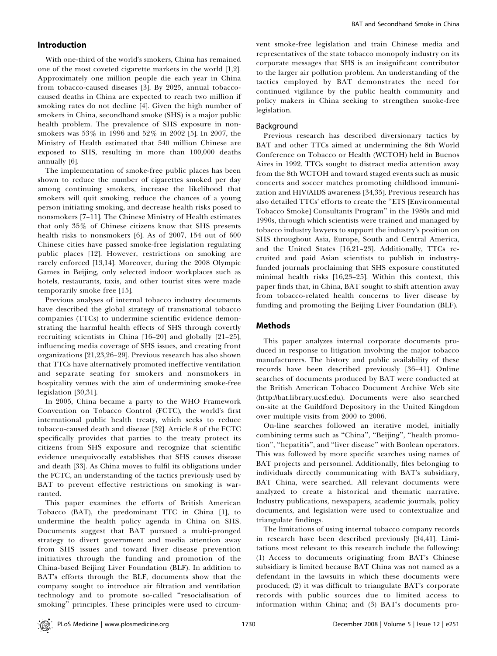#### Introduction

With one-third of the world's smokers, China has remained one of the most coveted cigarette markets in the world [1,2]. Approximately one million people die each year in China from tobacco-caused diseases [3]. By 2025, annual tobaccocaused deaths in China are expected to reach two million if smoking rates do not decline [4]. Given the high number of smokers in China, secondhand smoke (SHS) is a major public health problem. The prevalence of SHS exposure in nonsmokers was 53% in 1996 and 52% in 2002 [5]. In 2007, the Ministry of Health estimated that 540 million Chinese are exposed to SHS, resulting in more than 100,000 deaths annually [6].

The implementation of smoke-free public places has been shown to reduce the number of cigarettes smoked per day among continuing smokers, increase the likelihood that smokers will quit smoking, reduce the chances of a young person initiating smoking, and decrease health risks posed to nonsmokers [7–11]. The Chinese Ministry of Health estimates that only 35% of Chinese citizens know that SHS presents health risks to nonsmokers [6]. As of 2007, 154 out of 600 Chinese cities have passed smoke-free legislation regulating public places [12]. However, restrictions on smoking are rarely enforced [13,14]. Moreover, during the 2008 Olympic Games in Beijing, only selected indoor workplaces such as hotels, restaurants, taxis, and other tourist sites were made temporarily smoke free [15].

Previous analyses of internal tobacco industry documents have described the global strategy of transnational tobacco companies (TTCs) to undermine scientific evidence demonstrating the harmful health effects of SHS through covertly recruiting scientists in China [16–20] and globally [21–25], influencing media coverage of SHS issues, and creating front organizations [21,23,26–29]. Previous research has also shown that TTCs have alternatively promoted ineffective ventilation and separate seating for smokers and nonsmokers in hospitality venues with the aim of undermining smoke-free legislation [30,31].

In 2005, China became a party to the WHO Framework Convention on Tobacco Control (FCTC), the world's first international public health treaty, which seeks to reduce tobacco-caused death and disease [32]. Article 8 of the FCTC specifically provides that parties to the treaty protect its citizens from SHS exposure and recognize that scientific evidence unequivocally establishes that SHS causes disease and death [33]. As China moves to fulfil its obligations under the FCTC, an understanding of the tactics previously used by BAT to prevent effective restrictions on smoking is warranted.

This paper examines the efforts of British American Tobacco (BAT), the predominant TTC in China [1], to undermine the health policy agenda in China on SHS. Documents suggest that BAT pursued a multi-pronged strategy to divert government and media attention away from SHS issues and toward liver disease prevention initiatives through the funding and promotion of the China-based Beijing Liver Foundation (BLF). In addition to BAT's efforts through the BLF, documents show that the company sought to introduce air filtration and ventilation technology and to promote so-called ''resocialisation of smoking'' principles. These principles were used to circumvent smoke-free legislation and train Chinese media and representatives of the state tobacco monopoly industry on its corporate messages that SHS is an insignificant contributor to the larger air pollution problem. An understanding of the tactics employed by BAT demonstrates the need for continued vigilance by the public health community and policy makers in China seeking to strengthen smoke-free legislation.

#### Background

Previous research has described diversionary tactics by BAT and other TTCs aimed at undermining the 8th World Conference on Tobacco or Health (WCTOH) held in Buenos Aires in 1992. TTCs sought to distract media attention away from the 8th WCTOH and toward staged events such as music concerts and soccer matches promoting childhood immunization and HIV/AIDS awareness [34,35]. Previous research has also detailed TTCs' efforts to create the ''ETS [Environmental Tobacco Smoke] Consultants Program'' in the 1980s and mid 1990s, through which scientists were trained and managed by tobacco industry lawyers to support the industry's position on SHS throughout Asia, Europe, South and Central America, and the United States [16,21–23]. Additionally, TTCs recruited and paid Asian scientists to publish in industryfunded journals proclaiming that SHS exposure constituted minimal health risks [16,23–25]. Within this context, this paper finds that, in China, BAT sought to shift attention away from tobacco-related health concerns to liver disease by funding and promoting the Beijing Liver Foundation (BLF).

#### Methods

This paper analyzes internal corporate documents produced in response to litigation involving the major tobacco manufacturers. The history and public availability of these records have been described previously [36–41]. Online searches of documents produced by BAT were conducted at the British American Tobacco Document Archive Web site (http://bat.library.ucsf.edu). Documents were also searched on-site at the Guildford Depository in the United Kingdom over multiple visits from 2000 to 2006.

On-line searches followed an iterative model, initially combining terms such as ''China'', ''Beijing'', ''health promotion'', ''hepatitis'', and ''liver disease'' with Boolean operators. This was followed by more specific searches using names of BAT projects and personnel. Additionally, files belonging to individuals directly communicating with BAT's subsidiary, BAT China, were searched. All relevant documents were analyzed to create a historical and thematic narrative. Industry publications, newspapers, academic journals, policy documents, and legislation were used to contextualize and triangulate findings.

The limitations of using internal tobacco company records in research have been described previously [34,41]. Limitations most relevant to this research include the following: (1) Access to documents originating from BAT's Chinese subsidiary is limited because BAT China was not named as a defendant in the lawsuits in which these documents were produced; (2) it was difficult to triangulate BAT's corporate records with public sources due to limited access to information within China; and (3) BAT's documents pro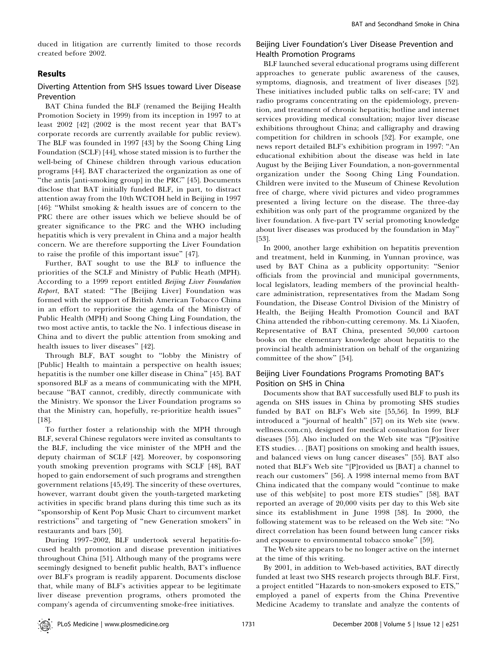duced in litigation are currently limited to those records created before 2002.

#### Results

#### Diverting Attention from SHS Issues toward Liver Disease Prevention

BAT China funded the BLF (renamed the Beijing Health Promotion Society in 1999) from its inception in 1997 to at least 2002 [42] (2002 is the most recent year that BAT's corporate records are currently available for public review). The BLF was founded in 1997 [43] by the Soong Ching Ling Foundation (SCLF) [44], whose stated mission is to further the well-being of Chinese children through various education programs [44]. BAT characterized the organization as one of "the antis [anti-smoking group] in the PRC" [45]. Documents disclose that BAT initially funded BLF, in part, to distract attention away from the 10th WCTOH held in Beijing in 1997 [46]: ''Whilst smoking & health issues are of concern to the PRC there are other issues which we believe should be of greater significance to the PRC and the WHO including hepatitis which is very prevalent in China and a major health concern. We are therefore supporting the Liver Foundation to raise the profile of this important issue'' [47].

Further, BAT sought to use the BLF to influence the priorities of the SCLF and Ministry of Public Heath (MPH). According to a 1999 report entitled Beijing Liver Foundation Report, BAT stated: "The [Beijing Liver] Foundation was formed with the support of British American Tobacco China in an effort to reprioritise the agenda of the Ministry of Public Health (MPH) and Soong Ching Ling Foundation, the two most active antis, to tackle the No. 1 infectious disease in China and to divert the public attention from smoking and health issues to liver diseases'' [42].

Through BLF, BAT sought to ''lobby the Ministry of [Public] Health to maintain a perspective on health issues; hepatitis is the number one killer disease in China'' [45]. BAT sponsored BLF as a means of communicating with the MPH, because ''BAT cannot, credibly, directly communicate with the Ministry. We sponsor the Liver Foundation programs so that the Ministry can, hopefully, re-prioritize health issues'' [18].

To further foster a relationship with the MPH through BLF, several Chinese regulators were invited as consultants to the BLF, including the vice minister of the MPH and the deputy chairman of SCLF [42]. Moreover, by cosponsoring youth smoking prevention programs with SCLF [48], BAT hoped to gain endorsement of such programs and strengthen government relations [45,49]. The sincerity of these overtures, however, warrant doubt given the youth-targeted marketing activities in specific brand plans during this time such as its ''sponsorship of Kent Pop Music Chart to circumvent market restrictions'' and targeting of ''new Generation smokers'' in restaurants and bars [50].

During 1997–2002, BLF undertook several hepatitis-focused health promotion and disease prevention initiatives throughout China [51]. Although many of the programs were seemingly designed to benefit public health, BAT's influence over BLF's program is readily apparent. Documents disclose that, while many of BLF's activities appear to be legitimate liver disease prevention programs, others promoted the company's agenda of circumventing smoke-free initiatives.

#### Beijing Liver Foundation's Liver Disease Prevention and Health Promotion Programs

BLF launched several educational programs using different approaches to generate public awareness of the causes, symptoms, diagnosis, and treatment of liver diseases [52]. These initiatives included public talks on self-care; TV and radio programs concentrating on the epidemiology, prevention, and treatment of chronic hepatitis; hotline and internet services providing medical consultation; major liver disease exhibitions throughout China; and calligraphy and drawing competition for children in schools [52]. For example, one news report detailed BLF's exhibition program in 1997: ''An educational exhibition about the disease was held in late August by the Beijing Liver Foundation, a non-governmental organization under the Soong Ching Ling Foundation. Children were invited to the Museum of Chinese Revolution free of charge, where vivid pictures and video programmes presented a living lecture on the disease. The three-day exhibition was only part of the programme organized by the liver foundation. A five-part TV serial promoting knowledge about liver diseases was produced by the foundation in May'' [53].

In 2000, another large exhibition on hepatitis prevention and treatment, held in Kunming, in Yunnan province, was used by BAT China as a publicity opportunity: ''Senior officials from the provincial and municipal governments, local legislators, leading members of the provincial healthcare administration, representatives from the Madam Song Foundation, the Disease Control Division of the Ministry of Health, the Beijing Health Promotion Council and BAT China attended the ribbon-cutting ceremony. Ms. Li Xiaofen, Representative of BAT China, presented 50,000 cartoon books on the elementary knowledge about hepatitis to the provincial health administration on behalf of the organizing committee of the show'' [54].

#### Beijing Liver Foundations Programs Promoting BAT's Position on SHS in China

Documents show that BAT successfully used BLF to push its agenda on SHS issues in China by promoting SHS studies funded by BAT on BLF's Web site [55,56]. In 1999, BLF introduced a ''journal of health'' [57] on its Web site (www. wellness.com.cn), designed for medical consultation for liver diseases [55]. Also included on the Web site was ''[P]ositive ETS studies... [BAT] positions on smoking and health issues, and balanced views on lung cancer diseases'' [55]. BAT also noted that BLF's Web site ''[P]rovided us [BAT] a channel to reach our customers'' [56]. A 1998 internal memo from BAT China indicated that the company would ''continue to make use of this web[site] to post more ETS studies'' [58]. BAT reported an average of 20,000 visits per day to this Web site since its establishment in June 1998 [58]. In 2000, the following statement was to be released on the Web site: ''No direct correlation has been found between lung cancer risks and exposure to environmental tobacco smoke'' [59].

The Web site appears to be no longer active on the internet at the time of this writing.

By 2001, in addition to Web-based activities, BAT directly funded at least two SHS research projects through BLF. First, a project entitled ''Hazards to non-smokers exposed to ETS,'' employed a panel of experts from the China Preventive Medicine Academy to translate and analyze the contents of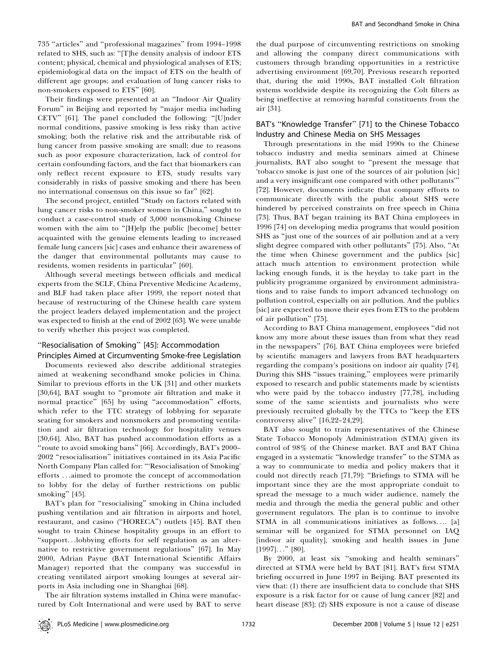735 ''articles'' and ''professional magazines'' from 1994–1998 related to SHS, such as: ''[T]he density analysis of indoor ETS content; physical, chemical and physiological analyses of ETS; epidemiological data on the impact of ETS on the health of different age groups; and evaluation of lung cancer risks to non-smokers exposed to ETS'' [60].

Their findings were presented at an ''Indoor Air Quality Forum'' in Beijing and reported by ''major media including CETV'' [61]. The panel concluded the following: ''[U]nder normal conditions, passive smoking is less risky than active smoking; both the relative risk and the attributable risk of lung cancer from passive smoking are small; due to reasons such as poor exposure characterization, lack of control for certain confounding factors, and the fact that biomarkers can only reflect recent exposure to ETS, study results vary considerably in risks of passive smoking and there has been no international consensus on this issue so far'' [62].

The second project, entitled ''Study on factors related with lung cancer risks to non-smoker women in China,'' sought to conduct a case-control study of 3,000 nonsmoking Chinese women with the aim to ''[H]elp the public [become] better acquainted with the genuine elements leading to increased female lung cancers [sic] cases and enhance their awareness of the danger that environmental pollutants may cause to residents, women residents in particular'' [60].

Although several meetings between officials and medical experts from the SCLF, China Preventive Medicine Academy, and BLF had taken place after 1999, the report noted that because of restructuring of the Chinese health care system the project leaders delayed implementation and the project was expected to finish at the end of 2002 [63]. We were unable to verify whether this project was completed.

#### ''Resocialisation of Smoking'' [45]: Accommodation Principles Aimed at Circumventing Smoke-free Legislation

Documents reviewed also describe additional strategies aimed at weakening secondhand smoke policies in China. Similar to previous efforts in the UK [31] and other markets [30,64], BAT sought to ''promote air filtration and make it normal practice'' [65] by using ''accommodation'' efforts, which refer to the TTC strategy of lobbying for separate seating for smokers and nonsmokers and promoting ventilation and air filtration technology for hospitality venues [30,64]. Also, BAT has pushed accommodation efforts as a ''route to avoid smoking bans'' [66]. Accordingly, BAT's 2000– 2002 ''resocialisation'' initiatives contained in its Asia Pacific North Company Plan called for: '''Resocialisation of Smoking' efforts ...aimed to promote the concept of accommodation to lobby for the delay of further restrictions on public smoking'' [45].

BAT's plan for "resocialising" smoking in China included pushing ventilation and air filtration in airports and hotel, restaurant, and casino (''HORECA'') outlets [45]. BAT then sought to train Chinese hospitality groups in an effort to ''support...lobbying efforts for self regulation as an alternative to restrictive government regulations'' [67]. In May 2000, Adrian Payne (BAT International Scientific Affairs Manager) reported that the company was successful in creating ventilated airport smoking lounges at several airports in Asia including one in Shanghai [68].

The air filtration systems installed in China were manufactured by Colt International and were used by BAT to serve

the dual purpose of circumventing restrictions on smoking and allowing the company direct communications with customers through branding opportunities in a restrictive advertising environment [69,70]. Previous research reported that, during the mid 1990s, BAT installed Colt filtration systems worldwide despite its recognizing the Colt filters as being ineffective at removing harmful constituents from the air [31].

#### BAT's ''Knowledge Transfer'' [71] to the Chinese Tobacco Industry and Chinese Media on SHS Messages

Through presentations in the mid 1990s to the Chinese tobacco industry and media seminars aimed at Chinese journalists, BAT also sought to ''present the message that 'tobacco smoke is just one of the sources of air polution [sic] and a very insignificant one compared with other pollutants''' [72]. However, documents indicate that company efforts to communicate directly with the public about SHS were hindered by perceived constraints on free speech in China [73]. Thus, BAT began training its BAT China employees in 1996 [74] on developing media programs that would position SHS as ''just one of the sources of air pollution and at a very slight degree compared with other pollutants'' [75]. Also, ''At the time when Chinese government and the publics [sic] attach much attention to environment protection while lacking enough funds, it is the heyday to take part in the publicity programme organized by environment administrations and to raise funds to import advanced technology on pollution control, especially on air pollution. And the publics [sic] are expected to move their eyes from ETS to the problem of air pollution'' [75].

According to BAT China management, employees ''did not know any more about these issues than from what they read in the newspapers'' [76]. BAT China employees were briefed by scientific managers and lawyers from BAT headquarters regarding the company's positions on indoor air quality [74]. During this SHS ''issues training,'' employees were primarily exposed to research and public statements made by scientists who were paid by the tobacco industry [77,78], including some of the same scientists and journalists who were previously recruited globally by the TTCs to ''keep the ETS controversy alive'' [16,22–24,29].

BAT also sought to train representatives of the Chinese State Tobacco Monopoly Administration (STMA) given its control of 98% of the Chinese market. BAT and BAT China engaged in a systematic ''knowledge transfer'' to the STMA as a way to communicate to media and policy makers that it could not directly reach [71,79]: ''Briefings to STMA will be important since they are the most appropriate conduit to spread the message to a much wider audience, namely the media and through the media the general public and other government regulators. The plan is to continue to involve STMA in all communications initiatives as follows.... [a] seminar will be organized for STMA personnel on IAQ [indoor air quality], smoking and health issues in June  $[1997]$ ..."  $[80]$ .

By 2000, at least six ''smoking and health seminars'' directed at STMA were held by BAT [81]. BAT's first STMA briefing occurred in June 1997 in Beijing. BAT presented its view that: (1) there are insufficient data to conclude that SHS exposure is a risk factor for or cause of lung cancer [82] and heart disease [83]; (2) SHS exposure is not a cause of disease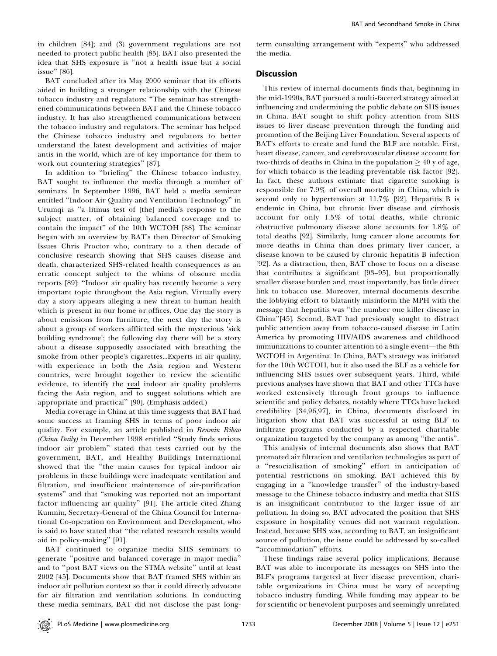in children [84]; and (3) government regulations are not needed to protect public health [85]. BAT also presented the idea that SHS exposure is ''not a health issue but a social issue'' [86].

BAT concluded after its May 2000 seminar that its efforts aided in building a stronger relationship with the Chinese tobacco industry and regulators: ''The seminar has strengthened communications between BAT and the Chinese tobacco industry. It has also strengthened communications between the tobacco industry and regulators. The seminar has helped the Chinese tobacco industry and regulators to better understand the latest development and activities of major antis in the world, which are of key importance for them to work out countering strategies'' [87].

In addition to ''briefing'' the Chinese tobacco industry, BAT sought to influence the media through a number of seminars. In September 1996, BAT held a media seminar entitled ''Indoor Air Quality and Ventilation Technology'' in Urumqi as ''a litmus test of [the] media's response to the subject matter, of obtaining balanced coverage and to contain the impact'' of the 10th WCTOH [88]. The seminar began with an overview by BAT's then Director of Smoking Issues Chris Proctor who, contrary to a then decade of conclusive research showing that SHS causes disease and death, characterized SHS-related health consequences as an erratic concept subject to the whims of obscure media reports [89]: ''Indoor air quality has recently become a very important topic throughout the Asia region. Virtually every day a story appears alleging a new threat to human health which is present in our home or offices. One day the story is about emissions from furniture; the next day the story is about a group of workers afflicted with the mysterious 'sick building syndrome'; the following day there will be a story about a disease supposedly associated with breathing the smoke from other people's cigarettes...Experts in air quality, with experience in both the Asia region and Western countries, were brought together to review the scientific evidence, to identify the real indoor air quality problems facing the Asia region, and to suggest solutions which are appropriate and practical'' [90]. (Emphasis added.)

Media coverage in China at this time suggests that BAT had some success at framing SHS in terms of poor indoor air quality. For example, an article published in Renmin Ribao (China Daily) in December 1998 entitled ''Study finds serious indoor air problem'' stated that tests carried out by the government, BAT, and Healthy Buildings International showed that the ''the main causes for typical indoor air problems in these buildings were inadequate ventilation and filtration, and insufficient maintenance of air-purification systems'' and that ''smoking was reported not an important factor influencing air quality'' [91]. The article cited Zhang Kunmin, Secretary-General of the China Council for International Co-operation on Environment and Development, who is said to have stated that ''the related research results would aid in policy-making'' [91].

BAT continued to organize media SHS seminars to generate ''positive and balanced coverage in major media'' and to ''post BAT views on the STMA website'' until at least 2002 [45]. Documents show that BAT framed SHS within an indoor air pollution context so that it could directly advocate for air filtration and ventilation solutions. In conducting these media seminars, BAT did not disclose the past longterm consulting arrangement with ''experts'' who addressed the media.

#### Discussion

This review of internal documents finds that, beginning in the mid-1990s, BAT pursued a multi-faceted strategy aimed at influencing and undermining the public debate on SHS issues in China. BAT sought to shift policy attention from SHS issues to liver disease prevention through the funding and promotion of the Beijing Liver Foundation. Several aspects of BAT's efforts to create and fund the BLF are notable. First, heart disease, cancer, and cerebrovascular disease account for two-thirds of deaths in China in the population  $\geq 40$  y of age, for which tobacco is the leading preventable risk factor [92]. In fact, these authors estimate that cigarette smoking is responsible for 7.9% of overall mortality in China, which is second only to hypertension at 11.7% [92]. Hepatitis B is endemic in China, but chronic liver disease and cirrhosis account for only 1.5% of total deaths, while chronic obstructive pulmonary disease alone accounts for 1.8% of total deaths [92]. Similarly, lung cancer alone accounts for more deaths in China than does primary liver cancer, a disease known to be caused by chronic hepatitis B infection [92]. As a distraction, then, BAT chose to focus on a disease that contributes a significant [93–95], but proportionally smaller disease burden and, most importantly, has little direct link to tobacco use. Moreover, internal documents describe the lobbying effort to blatantly misinform the MPH with the message that hepatitis was ''the number one killer disease in China''[45]. Second, BAT had previously sought to distract public attention away from tobacco-caused disease in Latin America by promoting HIV/AIDS awareness and childhood immunizations to counter attention to a single event—the 8th WCTOH in Argentina. In China, BAT's strategy was initiated for the 10th WCTOH, but it also used the BLF as a vehicle for influencing SHS issues over subsequent years. Third, while previous analyses have shown that BAT and other TTCs have worked extensively through front groups to influence scientific and policy debates, notably where TTCs have lacked credibility [34,96,97], in China, documents disclosed in litigation show that BAT was successful at using BLF to infiltrate programs conducted by a respected charitable organization targeted by the company as among ''the antis''.

This analysis of internal documents also shows that BAT promoted air filtration and ventilation technologies as part of a ''resocialisation of smoking'' effort in anticipation of potential restrictions on smoking. BAT achieved this by engaging in a ''knowledge transfer'' of the industry-based message to the Chinese tobacco industry and media that SHS is an insignificant contributor to the larger issue of air pollution. In doing so, BAT advocated the position that SHS exposure in hospitality venues did not warrant regulation. Instead, because SHS was, according to BAT, an insignificant source of pollution, the issue could be addressed by so-called "accommodation" efforts.

These findings raise several policy implications. Because BAT was able to incorporate its messages on SHS into the BLF's programs targeted at liver disease prevention, charitable organizations in China must be wary of accepting tobacco industry funding. While funding may appear to be for scientific or benevolent purposes and seemingly unrelated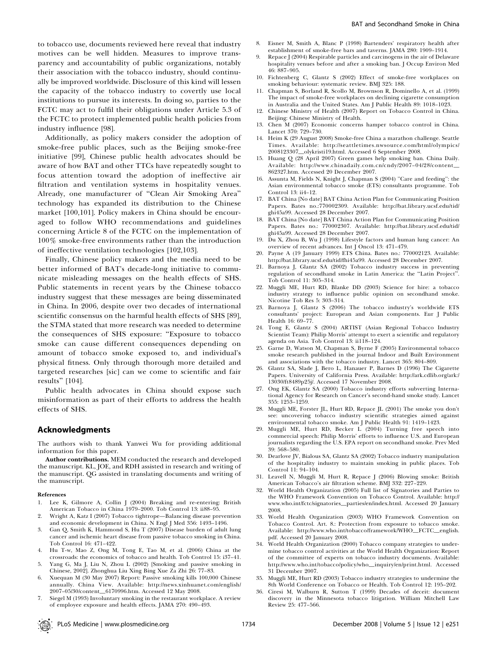to tobacco use, documents reviewed here reveal that industry motives can be well hidden. Measures to improve transparency and accountability of public organizations, notably their association with the tobacco industry, should continually be improved worldwide. Disclosure of this kind will lessen the capacity of the tobacco industry to covertly use local institutions to pursue its interests. In doing so, parties to the FCTC may act to fulfil their obligations under Article 5.3 of the FCTC to protect implemented public health policies from industry influence [98].

Additionally, as policy makers consider the adoption of smoke-free public places, such as the Beijing smoke-free initiative [99], Chinese public health advocates should be aware of how BAT and other TTCs have repeatedly sought to focus attention toward the adoption of ineffective air filtration and ventilation systems in hospitality venues. Already, one manufacturer of ''Clean Air Smoking Area'' technology has expanded its distribution to the Chinese market [100,101]. Policy makers in China should be encouraged to follow WHO recommendations and guidelines concerning Article 8 of the FCTC on the implementation of 100% smoke-free environments rather than the introduction of ineffective ventilation technologies [102,103].

Finally, Chinese policy makers and the media need to be better informed of BAT's decade-long initiative to communicate misleading messages on the health effects of SHS. Public statements in recent years by the Chinese tobacco industry suggest that these messages are being disseminated in China. In 2006, despite over two decades of international scientific consensus on the harmful health effects of SHS [89], the STMA stated that more research was needed to determine the consequences of SHS exposure: ''Exposure to tobacco smoke can cause different consequences depending on amount of tobacco smoke exposed to, and individual's physical fitness. Only through thorough more detailed and targeted researches [sic] can we come to scientific and fair results'' [104].

Public health advocates in China should expose such misinformation as part of their efforts to address the health effects of SHS.

#### Acknowledgments

The authors wish to thank Yanwei Wu for providing additional information for this paper.

Author contributions. MEM conducted the research and developed the manuscript. KL, JOE, and RDH assisted in research and writing of the manuscript. QG assisted in translating documents and writing of the manuscript.

#### References

- 1. Lee K, Gilmore A, Collin J (2004) Breaking and re-entering: British American Tobacco in China 1979–2000. Tob Control 13: ii88–95.
- 2. Wright A, Katz I (2007) Tobacco tightrope—Balancing disease prevention and economic development in China. N Engl J Med 356: 1493–1496.
- 3. Gan Q, Smith K, Hammond S, Hu T (2007) Disease burden of adult lung cancer and ischemic heart disease from passive tobacco smoking in China. Tob Control 16: 471–422.
- 4. Hu T-w, Mao Z, Ong M, Tong E, Tao M, et al. (2006) China at the crossroads: the economics of tobacco and health. Tob Control 15: i37–41.
- 5. Yang G, Ma J, Liu N, Zhou L (2002) [Smoking and passive smoking in Chinese, 2002]. Zhonghua Liu Xing Bing Xue Za Zhi 26: 77–83.
- 6. Xuequan M (30 May 2007) Report: Passive smoking kills 100,000 Chinese annually. China View. Available: http://news.xinhuanet.com/english/ 2007–05/30/content\_6170996.htm. Accessed 12 May 2008.
- 7. Siegel M (1993) Involuntary smoking in the restaurant workplace. A review of employee exposure and health effects. JAMA 270: 490–493.
- 8. Eisner M, Smith A, Blanc P (1998) Bartenders' respiratory health after establishment of smoke-free bars and taverns. JAMA 280: 1909–1914.
- Repace J (2004) Respirable particles and carcinogens in the air of Delaware hospitality venues before and after a smoking ban. J Occup Environ Med 46: 887–905.
- 10. Fichtenberg C, Glantz S (2002) Effect of smoke-free workplaces on smoking behaviour: systematic review. BMJ 325: 188.
- 11. Chapman S, Borland R, Scollo M, Brownson R, Dominello A, et al. (1999) The impact of smoke-free workplaces on declining cigarette consumption in Australia and the United States. Am J Public Health 89: 1018–1023.
- 12. Chinese Ministry of Health (2007) Report on Tobacco Control in China. Beijing: Chinese Ministry of Health.
- 13. Chen M (2007) Economic concerns hamper tobacco control in China. Lancet 370: 729–730.
- 14. Heim K (29 August 2008) Smoke-free China a marathon challenge. Seattle Times. Available: http://seattletimes.nwsource.com/html/olympics/ 2008123307\_olykristi19.html. Accessed 6 September 2008.
- 15. Huang Q (28 April 2007) Green games help smoking ban. China Daily. Available: http://www.chinadaily.com.cn/cndy/2007–04/28/content\_ 862327.htm. Accessed 20 December 2007.
- 16. Assunta M, Fields N, Knight J, Chapman S (2004) ''Care and feeding'': the Asian environmental tobacco smoke (ETS) consultants programme. Tob Control 13: ii4–12.
- 17. BAT China [No date] BAT China Action Plan for Communicating Position Papers. Bates no.:770002309. Available: http://bat.library.ucsf.edu/tid/ ghi45a99. Accessed 28 December 2007.
- 18. BAT China [No date] BAT China Action Plan for Communicating Position Papers. Bates no.: 770002307. Available: http://bat.library.ucsf.edu/tid/ ghi45a99. Accessed 28 December 2007.
- 19. Du X, Zhou B, Wu J (1998) Lifestyle factors and human lung cancer: An overview of recent advances. Int J Oncol 13: 471–479.
- 20. Payne A (19 January 1999) ETS China. Bates no.: 770002123. Available: http://bat.library.ucsf.edu/tid/fhi45a99. Accessed 28 December 2007.
- 21. Barnoya J, Glantz SA (2002) Tobacco industry success in preventing regulation of secondhand smoke in Latin America: the ''Latin Project''. Tob Control 11: 305–314.
- 22. Muggli ME, Hurt RD, Blanke DD (2003) Science for hire: a tobacco industry strategy to influence public opinion on secondhand smoke. Nicotine Tob Res 5: 303–314.
- 23. Barnoya J, Glantz S (2006) The tobacco industry's worldwide ETS consultants' project: European and Asian components. Eur J Public Health 16: 69–77.
- 24. Tong E, Glantz S (2004) ARTIST (Asian Regional Tobacco Industry Scientist Team): Philip Morris' attempt to exert a scientific and regulatory agenda on Asia. Tob Control 13: ii118–124.
- 25. Garne D, Watson M, Chapman S, Byrne F (2005) Environmental tobacco smoke research published in the journal Indoor and Built Environment and associations with the tobacco industry. Lancet 365: 804–809.
- 26. Glantz SA, Slade J, Bero L, Hanauer P, Barnes D (1996) The Cigarette Papers. University of California Press. Available: http://ark.cdlib.org/ark:/ 13030/ft8489p25j/. Accessed 17 November 2008.
- 27. Ong EK, Glantz SA (2000) Tobacco industry efforts subverting International Agency for Research on Cancer's second-hand smoke study. Lancet 355: 1253–1259.
- 28. Muggli ME, Forster JL, Hurt RD, Repace JL (2001) The smoke you don't see: uncovering tobacco industry scientific strategies aimed against environmental tobacco smoke. Am J Public Health 91: 1419–1423.
- 29. Muggli ME, Hurt RD, Becker L (2004) Turning free speech into commercial speech: Philip Morris' efforts to influence U.S. and European journalists regarding the U.S. EPA report on secondhand smoke. Prev Med 39: 568–580.
- 30. Dearlove JV, Bialous SA, Glantz SA (2002) Tobacco industry manipulation of the hospitality industry to maintain smoking in public places. Tob Control 11: 94–104.
- 31. Leavell N, Muggli M, Hurt R, Repace J (2006) Blowing smoke: British American Tobacco's air filtration scheme. BMJ 332: 227–229.
- 32. World Health Organization (2005) Full list of Signatories and Parties to the WHO Framework Convention on Tobacco Control. Available: http:// www.who.int/fctc/signatories\_parties/en/index.html. Accessed 20 January 2008.
- 33. World Health Organization (2003) WHO Framework Convention on Tobacco Control. Art. 8.: Protection from exposure to tobacco smoke. Available: http://www.who.int/tobacco/framework/WHO\_FCTC\_english. pdf. Accessed 20 January 2008.
- 34. World Health Organization (2000) Tobacco company strategies to undermine tobacco control activities at the World Health Organization: Report of the committee of experts on tobacco industry documents. Available: http://www.who.int/tobacco/policy/who\_inquiry/en/print.html. Accessed 31 December 2007.
- 35. Muggli ME, Hurt RD (2003) Tobacco industry strategies to undermine the 8th World Conference on Tobacco or Health. Tob Control 12: 195–202.
- 36. Ciresi M, Walburn R, Sutton T (1999) Decades of deceit: document discovery in the Minnesota tobacco litigation. William Mitchell Law Review 25: 477–566.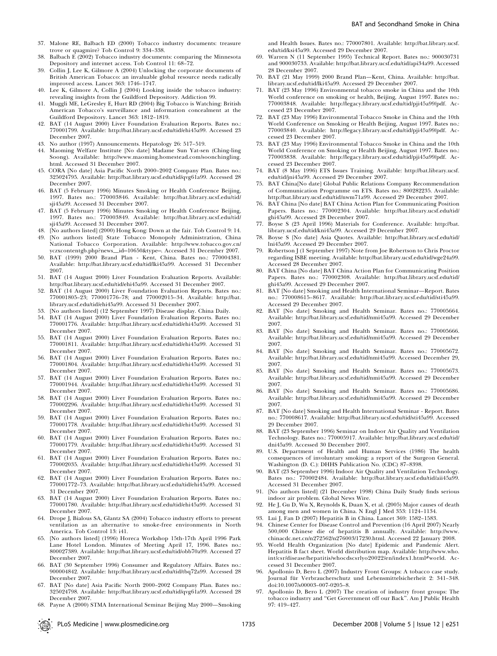- 37. Malone RE, Balbach ED (2000) Tobacco industry documents: treasure trove or quagmire? Tob Control 9: 334–338.
- 38. Balbach E (2002) Tobacco industry documents: comparing the Minnesota Depository and internet access. Tob Control 11: 68–72.
- 39. Collin J, Lee K, Gilmore A (2004) Unlocking the corporate documents of British American Tobacco: an invaluable global resource needs radically improved access. Lancet 363: 1746–1747.
- 40. Lee K, Gilmore A, Collin J (2004) Looking inside the tobacco industry: revealing insights from the Guildford Depository. Addiction 99.
- 41. Muggli ME, LeGresley E, Hurt RD (2004) Big Tobacco is Watching: British American Tobacco's surveillance and information concealment at the Guildford Depository. Lancet 363: 1812–1819.
- 42. BAT (14 August 2000) Liver Foundation Evaluation Reports. Bates no.: 770001799. Available: http://bat.library.ucsf.edu/tid/ehi45a99. Accessed 23 December 2007.
- No author (1997) Announcements. Hepatology 26: 517-519.
- 44. Maoming Welfare Institute [No date] Madame Sun Yat-sen (Ching-ling Soong). Available: http://www.maoming.homestead.com/soonchingling. html. Accessed 31 December 2007.
- 45. CORA [No date] Asia Pacific North 2000–2002 Company Plan. Bates no.: 325024795. Available: http://bat.library.ucsf.edu/tid/qvg61a99. Accessed 28 December 2007.
- 46. BAT (5 February 1996) Minutes Smoking or Health Conference Beijing, 1997. Bates no.: 770003846. Available: http://bat.library.ucsf.edu/tid/ sji45a99. Accessed 31 December 2007.
- 47. BAT (5 February 1996) Minutes Smoking or Health Conference Beijing, 1997. Bates no.: 770003849. Available: http://bat.library.ucsf.edu/tid/ sji45a99. Accessed 31 December 2007.
- 48. [No authors listed] (2000) Hong Kong: Down at the fair. Tob Control 9: 14. 49. [No authors listed] State Tobacco Monopoly Administration, China National Tobacco Corporation. Available: http://www.tobacco.gov.cn/
- yczxcontentgb.php?news\_id=10650&type=. Accessed 31 December 2007. 50. BAT (1999) 2000 Brand Plan - Kent, China. Bates no.: 770004381. Available: http://bat.library.ucsf.edu/tid/lki45a99. Accessed 31 December
- 2007. 51. BAT (14 August 2000) Liver Foundation Evaluation Reports. Available: http://bat.library.ucsf.edu/tid/ehi45a99. Accessed 31 December 2007.
- 52. BAT (14 August 2000) Liver Foundation Evaluation Reports. Bates no.: 770001805–23; 770001776–78; and 770002015–34. Available: http://bat. library.ucsf.edu/tid/ehi45a99. Accessed 31 December 2007.
- 53. [No authors listed] (12 September 1997) Disease display. China Daily.
- 54. BAT (14 August 2000) Liver Foundation Evaluation Reports. Bates no.: 770001776. Available: http://bat.library.ucsf.edu/tid/ehi45a99. Accessed 31 December 2007.
- 55. BAT (14 August 2000) Liver Foundation Evaluation Reports. Bates no.: 770001811. Available: http://bat.library.ucsf.edu/tid/ehi45a99. Accessed 31 December 2007.
- 56. BAT (14 August 2000) Liver Foundation Evaluation Reports. Bates no.: 770001804. Available: http://bat.library.ucsf.edu/tid/ehi45a99. Accessed 31 December 2007.
- 57. BAT (14 August 2000) Liver Foundation Evaluation Reports. Bates no.: 770001944. Available: http://bat.library.ucsf.edu/tid/ehi45a99. Accessed 31 December 2007.
- 58. BAT (14 August 2000) Liver Foundation Evaluation Reports. Bates no.: 770002296. Available: http://bat.library.ucsf.edu/tid/ehi45a99. Accessed 31 December 2007.
- 59. BAT (14 August 2000) Liver Foundation Evaluation Reports. Bates no.: 770001778. Available: http://bat.library.ucsf.edu/tid/ehi45a99. Accessed 31 December 2007.
- 60. BAT (14 August 2000) Liver Foundation Evaluation Reports. Bates no.: 770001779. Available: http://bat.library.ucsf.edu/tid/ehi45a99. Accessed 31 December 2007.
- 61. BAT (14 August 2000) Liver Foundation Evaluation Reports. Bates no.: 770002035. Available: http://bat.library.ucsf.edu/tid/ehi45a99. Accessed 31 December 2007.
- 62. BAT (14 August 2000) Liver Foundation Evaluation Reports. Bates no.: 770001772–73. Available: http://bat.library.ucsf.edu/tid/ehi45a99. Accessed 31 December 2007.
- 63. BAT (14 August 2000) Liver Foundation Evaluation Reports. Bates no.: 770001780. Available: http://bat.library.ucsf.edu/tid/ehi45a99. Accessed 31 December 2007.
- 64. Drope J, Bialous SA, Glantz SA (2004) Tobacco industry efforts to present ventilation as an alternative to smoke-free environments in North America. Tob Control 13: i41.
- 65. [No authors listed] (1996) Horeca Workshop 15th-17th April 1996 Park Lane Hotel London. Minutes of Meeting April 17, 1996. Bates no.: 800027389. Available: http://bat.library.ucsf.edu/tid/obb70a99. Accessed 27 December 2007.
- 66. BAT (30 September 1996) Consumer and Regulatory Affairs. Bates no.: 900004842. Available: http://bat.library.ucsf.edu/tid/tbq72a99. Accessed 28 December 2007.
- 67. BAT [No date] Asia Pacific North 2000–2002 Company Plan. Bates no.: 325024798. Available: http://bat.library.ucsf.edu/tid/qvg61a99. Accessed 28 December 2007.
- 68. Payne A (2000) STMA International Seminar Beijing May 2000—Smoking

and Health Issues. Bates no.: 770007801. Available: http://bat.library.ucsf. edu/tid/ksi45a99. Accessed 29 December 2007.

- 69. Warren N (11 September 1995) Technical Report. Bates no.: 900030731 and 900030733. Available: http://bat.library.ucsf.edu/tid/api34a99. Accessed 28 December 2007.
- 70. BAT (21 May 1999) 2000 Brand Plan—Kent, China. Available: http://bat. library.ucsf.edu/tid/lki45a99. Accessed 29 December 2007.
- 71. BAT (23 May 1996) Environmental tobacco smoke in China and the 10th World conference on smoking or health, Beijing, August 1997. Bates no.: 770003848. Available: http://legacy.library.ucsf.edu/tid/pji45a99/pdf. Accessed 23 December 2007.
- 72. BAT (23 May 1996) Environmental Tobacco Smoke in China and the 10th World Conference on Smoking or Health Beijing, August 1997. Bates no.: 770003840. Available: http://legacy.library.ucsf.edu/tid/pji45a99/pdf. Accessed 23 December 2007.
- 73. BAT (23 May 1996) Environmental Tobacco Smoke in China and the 10th World Conference on Smoking or Health Beijing, August 1997. Bates no.: 770003838. Available: http://legacy.library.ucsf.edu/tid/pji45a99/pdf. Accessed 23 December 2007.
- 74. BAT (8 May 1996) ETS Issues Training. Available: http://bat.library.ucsf. edu/tid/jni45a99. Accessed 29 December 2007.
- 75. BAT China[No date] Global Public Relations Company Recommendation of Communication Programme on ETS. Bates no.: 800282235. Available: http://bat.library.ucsf.edu/tid/nwm71a99. Accessed 29 December 2007.
- 76. BAT China [No date] BAT China Action Plan for Communicating Position Papers. Bates no.: 770002304. Available: http://bat.library.ucsf.edu/tid/ ghi45a99. Accessed 28 December 2007.
- 77. Boyse S (23 April 1996) Materials for Conference. Available: http://bat. library.ucsf.edu/tid/kni45a99. Accessed 29 December 2007.
- 78. Boyse S [No date] Asia Quotes. Available: http://bat.library.ucsf.edu/tid/ lni45a99. Accessed 29 December 2007.
- 79. Robertson J (1 September 1997) Note from Joe Robertson to Chris Proctor regarding ISBE meeting. Available: http://bat.library.ucsf.edu/tid/wge24a99. Accessed 28 December 2007.
- 80. BAT China [No date] BAT China Action Plan for Communicating Position Papers. Bates no.: 770002308. Available: http://bat.library.ucsf.edu/tid/ ghi45a99. Accessed 29 December 2007.
- 81. BAT [No date] Smoking and Health International Seminar—Report. Bates no.: 770008615–8617. Available: http://bat.library.ucsf.edu/tid/sti45a99. Accessed 29 December 2007.
- 82. BAT [No date] Smoking and Health Seminar. Bates no.: 770005664. Available: http://bat.library.ucsf.edu/tid/nmi45a99. Accessed 29 December 2007.
- 83. BAT [No date] Smoking and Health Seminar. Bates no.: 770005666. Available: http://bat.library.ucsf.edu/tid/nmi45a99. Accessed 29 December 2007.
- 84. BAT [No date] Smoking and Health Seminar. Bates no.: 770005672. Available: http://bat.library.ucsf.edu/tid/nmi45a99. Accessed December 29, 2007.
- 85. BAT [No date] Smoking and Health Seminar. Bates no.: 770005673. Available: http://bat.library.ucsf.edu/tid/nmi45a99. Accessed 29 December 2007.
- 86. BAT [No date] Smoking and Health Seminar. Bates no.: 770005686. Available: http://bat.library.ucsf.edu/tid/nmi45a99. Accessed 29 December 2007.
- 87. BAT [No date] Smoking and Health International Seminar Report. Bates no.: 770008617. Available: http://bat.library.ucsf.edu/tid/sti45a99. Accessed 29 December 2007.
- 88. BAT (23 September 1996) Seminar on Indoor Air Quality and Ventilation Technology. Bates no.: 770005917. Available: http://bat.library.ucsf.edu/tid/ dni45a99. Accessed 30 December 2007.
- 89. U.S. Department of Health and Human Services (1986) The health consequences of involuntary smoking: a report of the Surgeon General. Washington (D. C.): DHHS Publication No. (CDC) 87–8398.
- 90. BAT (23 September 1996) Indoor Air Quality and Ventilation Technology. Bates no.: 770002484. Available: http://bat.library.ucsf.edu/tid/aii45a99. Accessed 31 December 2007.
- 91. [No authors listed] (21 December 1998) China Daily Study finds serious indoor air problem. Global News Wire.
- 92. He J, Gu D, Wu X, Reynolds K, Duan X, et al. (2005) Major causes of death among men and women in China. N Engl J Med 353: 1124–1134.
- 93. Lui J, Fan D (2007) Hepatitis B in China. Lancet 369: 1582–1583.
- 94. Chinese Center for Disease Control and Prevention (16 April 2007) Nearly 500,000 Chinese die of hepatitis B annually. Available: http://www. chinacdc.net.cn/n272562/n276003/17230.html. Accessed 22 January 2008.
- 95. World Health Organization [No date] Epidemic and Pandemic Alert. Hepatitis B fact sheet. World distribution map. Available: http://www.who. int/csr/disease/hepatitis/whocdscsrlyo20022/en/index1.html#world. Accessed 31 December 2007.
- 96. Apollonio D, Bero L (2007) Industry Front Groups: A tobacco case study. Journal für Verbraucherschutz und Lebensmittelsicherheit 2: 341-348. doi:10.1007/s00003–007-0205–8.
- 97. Apollonio D, Bero L (2007) The creation of industry front groups: The tobacco industry and ''Get Government off our Back''. Am J Public Health 97: 419–427.

PLoS Medicine | www.plosmedicine.org | November 2008 | Volume 5 | Issue 12 | e251 | e251 | e251 | e251 | e251 | e251 | e251 | e251 | e251 | e251 | e251 | e251 | e251 | e251 | e251 | e251 | e251 | e251 | e251 | e251 | e251